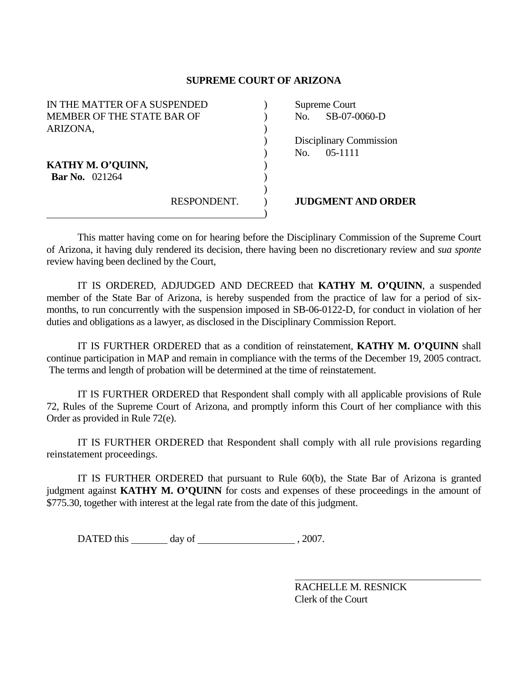## **SUPREME COURT OF ARIZONA**

| IN THE MATTER OF A SUSPENDED |             | Supreme Court |                                |
|------------------------------|-------------|---------------|--------------------------------|
| MEMBER OF THE STATE BAR OF   |             | No.           | SB-07-0060-D                   |
| ARIZONA,                     |             |               |                                |
|                              |             |               | <b>Disciplinary Commission</b> |
|                              |             | No.           | $05 - 1111$                    |
| KATHY M. O'QUINN,            |             |               |                                |
| <b>Bar No.</b> 021264        |             |               |                                |
|                              |             |               |                                |
|                              | RESPONDENT. |               | <b>JUDGMENT AND ORDER</b>      |
|                              |             |               |                                |

 This matter having come on for hearing before the Disciplinary Commission of the Supreme Court of Arizona, it having duly rendered its decision, there having been no discretionary review and *sua sponte* review having been declined by the Court,

 IT IS ORDERED, ADJUDGED AND DECREED that **KATHY M. O'QUINN**, a suspended member of the State Bar of Arizona, is hereby suspended from the practice of law for a period of sixmonths, to run concurrently with the suspension imposed in SB-06-0122-D, for conduct in violation of her duties and obligations as a lawyer, as disclosed in the Disciplinary Commission Report.

 IT IS FURTHER ORDERED that as a condition of reinstatement, **KATHY M. O'QUINN** shall continue participation in MAP and remain in compliance with the terms of the December 19, 2005 contract. The terms and length of probation will be determined at the time of reinstatement.

 IT IS FURTHER ORDERED that Respondent shall comply with all applicable provisions of Rule 72, Rules of the Supreme Court of Arizona, and promptly inform this Court of her compliance with this Order as provided in Rule 72(e).

 IT IS FURTHER ORDERED that Respondent shall comply with all rule provisions regarding reinstatement proceedings.

 IT IS FURTHER ORDERED that pursuant to Rule 60(b), the State Bar of Arizona is granted judgment against **KATHY M. O'QUINN** for costs and expenses of these proceedings in the amount of \$775.30, together with interest at the legal rate from the date of this judgment.

 $\text{DATED this} \_\_\_\_\_\_\_\_\$  day of  $\_\_\_\_\_\_\_\_\_\_\_\_\_\_\,\, 2007.$ 

 RACHELLE M. RESNICK Clerk of the Court